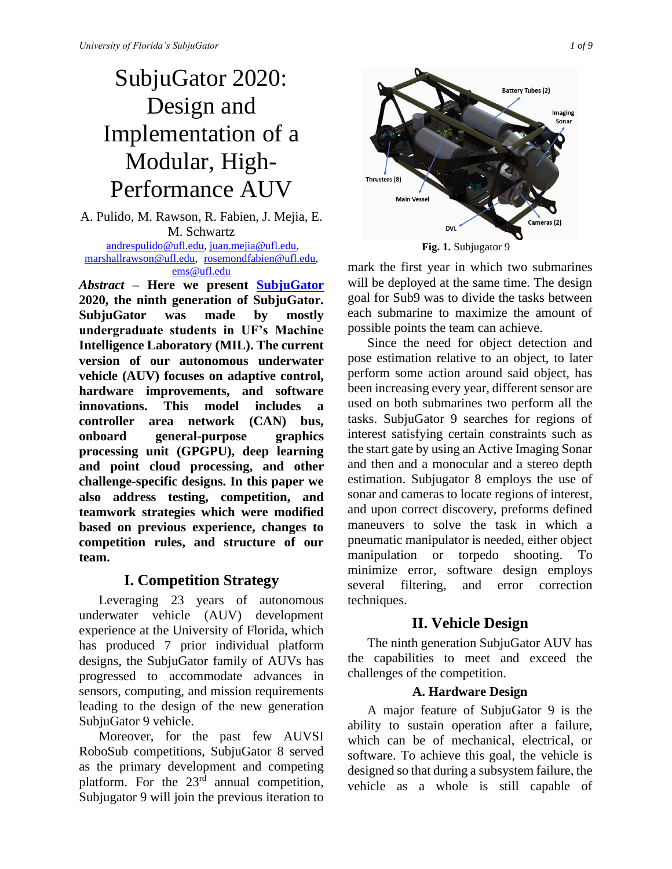# SubjuGator 2020: Design and Implementation of a Modular, High-Performance AUV

A. Pulido, M. Rawson, R. Fabien, J. Mejia, E. M. Schwartz [andrespulido@ufl.edu,](mailto:andrespulido@ufl.edu) [juan.mejia@ufl.edu,](mailto:juan.mejia@ufl.edu) [marshallrawson@ufl.edu,](mailto:marshallrawson@ufl.edu) [rosemondfabien@ufl.edu,](mailto:rosemondfabien@ufl.edu) [ems@ufl.edu](mailto:ems@ufl.edu)

*Abstract* **– Here we present [SubjuGator](http://subjugator.org/) 2020, the ninth generation of SubjuGator. SubjuGator was made by mostly undergraduate students in UF's Machine Intelligence Laboratory (MIL). The current version of our autonomous underwater vehicle (AUV) focuses on adaptive control, hardware improvements, and software innovations. This model includes a controller area network (CAN) bus, onboard general-purpose graphics processing unit (GPGPU), deep learning and point cloud processing, and other challenge-specific designs. In this paper we also address testing, competition, and teamwork strategies which were modified based on previous experience, changes to competition rules, and structure of our team.**

# **I. Competition Strategy**

Leveraging 23 years of autonomous underwater vehicle (AUV) development experience at the University of Florida, which has produced 7 prior individual platform designs, the SubjuGator family of AUVs has progressed to accommodate advances in sensors, computing, and mission requirements leading to the design of the new generation SubjuGator 9 vehicle.

Moreover, for the past few AUVSI RoboSub competitions, SubjuGator 8 served as the primary development and competing platform. For the  $23<sup>rd</sup>$  annual competition, Subjugator 9 will join the previous iteration to



**Fig. 1.** Subjugator 9

mark the first year in which two submarines will be deployed at the same time. The design goal for Sub9 was to divide the tasks between each submarine to maximize the amount of possible points the team can achieve.

Since the need for object detection and pose estimation relative to an object, to later perform some action around said object, has been increasing every year, different sensor are used on both submarines two perform all the tasks. SubjuGator 9 searches for regions of interest satisfying certain constraints such as the start gate by using an Active Imaging Sonar and then and a monocular and a stereo depth estimation. Subjugator 8 employs the use of sonar and cameras to locate regions of interest, and upon correct discovery, preforms defined maneuvers to solve the task in which a pneumatic manipulator is needed, either object manipulation or torpedo shooting. To minimize error, software design employs several filtering, and error correction techniques.

# **II. Vehicle Design**

The ninth generation SubjuGator AUV has the capabilities to meet and exceed the challenges of the competition.

## **A. Hardware Design**

A major feature of SubjuGator 9 is the ability to sustain operation after a failure, which can be of mechanical, electrical, or software. To achieve this goal, the vehicle is designed so that during a subsystem failure, the vehicle as a whole is still capable of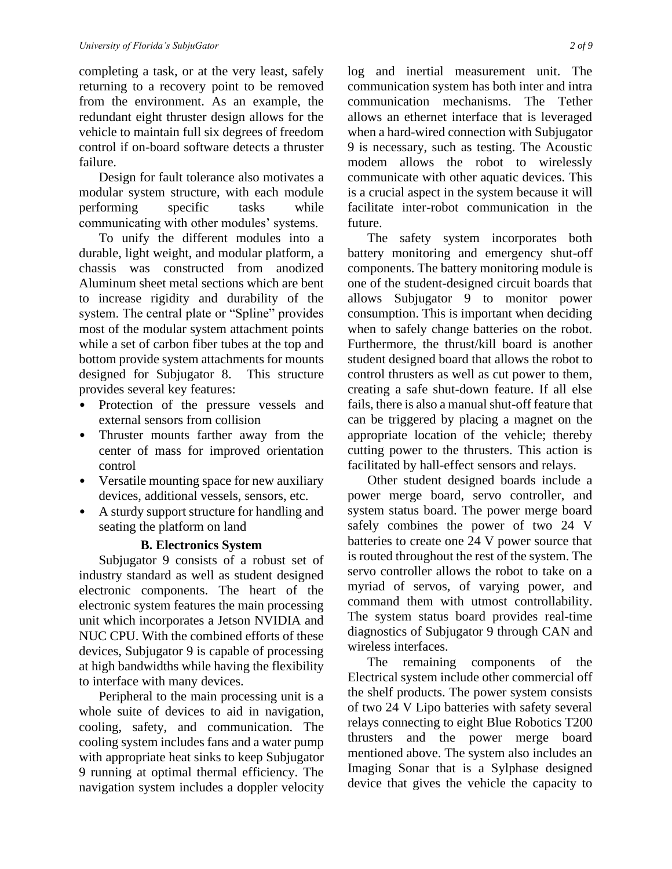completing a task, or at the very least, safely returning to a recovery point to be removed from the environment. As an example, the redundant eight thruster design allows for the vehicle to maintain full six degrees of freedom control if on-board software detects a thruster failure.

Design for fault tolerance also motivates a modular system structure, with each module performing specific tasks while communicating with other modules' systems.

To unify the different modules into a durable, light weight, and modular platform, a chassis was constructed from anodized Aluminum sheet metal sections which are bent to increase rigidity and durability of the system. The central plate or "Spline" provides most of the modular system attachment points while a set of carbon fiber tubes at the top and bottom provide system attachments for mounts designed for Subjugator 8. This structure provides several key features:

- Protection of the pressure vessels and external sensors from collision
- Thruster mounts farther away from the center of mass for improved orientation control
- Versatile mounting space for new auxiliary devices, additional vessels, sensors, etc.
- A sturdy support structure for handling and seating the platform on land

#### **B. Electronics System**

Subjugator 9 consists of a robust set of industry standard as well as student designed electronic components. The heart of the electronic system features the main processing unit which incorporates a Jetson NVIDIA and NUC CPU. With the combined efforts of these devices, Subjugator 9 is capable of processing at high bandwidths while having the flexibility to interface with many devices.

Peripheral to the main processing unit is a whole suite of devices to aid in navigation, cooling, safety, and communication. The cooling system includes fans and a water pump with appropriate heat sinks to keep Subjugator 9 running at optimal thermal efficiency. The navigation system includes a doppler velocity log and inertial measurement unit. The communication system has both inter and intra communication mechanisms. The Tether allows an ethernet interface that is leveraged when a hard-wired connection with Subjugator 9 is necessary, such as testing. The Acoustic modem allows the robot to wirelessly communicate with other aquatic devices. This is a crucial aspect in the system because it will facilitate inter-robot communication in the future.

The safety system incorporates both battery monitoring and emergency shut-off components. The battery monitoring module is one of the student-designed circuit boards that allows Subjugator 9 to monitor power consumption. This is important when deciding when to safely change batteries on the robot. Furthermore, the thrust/kill board is another student designed board that allows the robot to control thrusters as well as cut power to them, creating a safe shut-down feature. If all else fails, there is also a manual shut-off feature that can be triggered by placing a magnet on the appropriate location of the vehicle; thereby cutting power to the thrusters. This action is facilitated by hall-effect sensors and relays.

Other student designed boards include a power merge board, servo controller, and system status board. The power merge board safely combines the power of two 24 V batteries to create one 24 V power source that is routed throughout the rest of the system. The servo controller allows the robot to take on a myriad of servos, of varying power, and command them with utmost controllability. The system status board provides real-time diagnostics of Subjugator 9 through CAN and wireless interfaces.

The remaining components of the Electrical system include other commercial off the shelf products. The power system consists of two 24 V Lipo batteries with safety several relays connecting to eight Blue Robotics T200 thrusters and the power merge board mentioned above. The system also includes an Imaging Sonar that is a Sylphase designed device that gives the vehicle the capacity to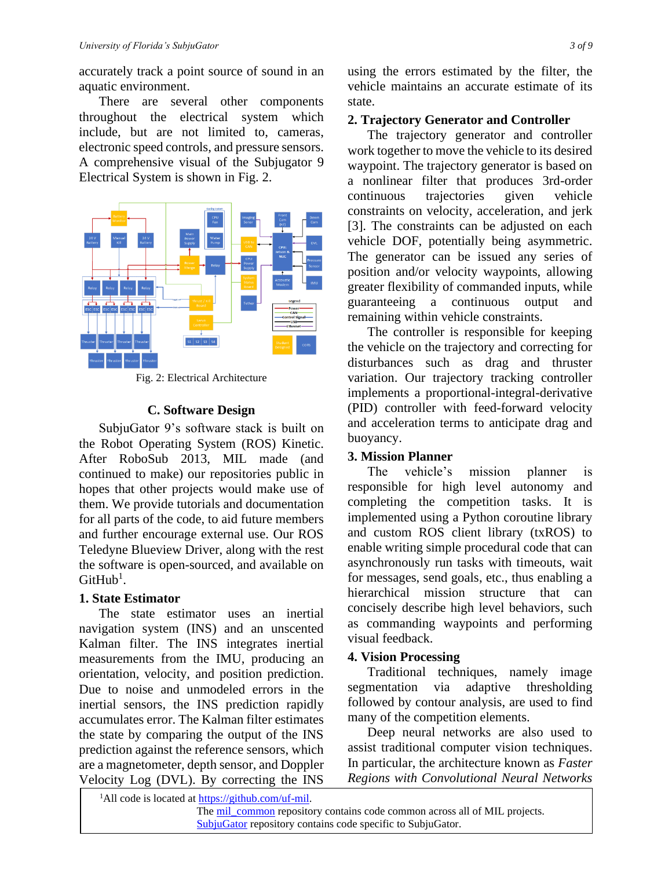accurately track a point source of sound in an aquatic environment.

There are several other components throughout the electrical system which include, but are not limited to, cameras, electronic speed controls, and pressure sensors. A comprehensive visual of the Subjugator 9 Electrical System is shown in Fig. 2.



Fig. 2: Electrical Architecture

#### **C. Software Design**

SubjuGator 9's software stack is built on the Robot Operating System (ROS) Kinetic. After RoboSub 2013, MIL made (and continued to make) our repositories public in hopes that other projects would make use of them. We provide tutorials and documentation for all parts of the code, to aid future members and further encourage external use. Our ROS Teledyne Blueview Driver, along with the rest the software is open-sourced, and available on  $G$ itHub<sup>1</sup>.

#### **1. State Estimator**

The state estimator uses an inertial navigation system (INS) and an unscented Kalman filter. The INS integrates inertial measurements from the IMU, producing an orientation, velocity, and position prediction. Due to noise and unmodeled errors in the inertial sensors, the INS prediction rapidly accumulates error. The Kalman filter estimates the state by comparing the output of the INS prediction against the reference sensors, which are a magnetometer, depth sensor, and Doppler Velocity Log (DVL). By correcting the INS

using the errors estimated by the filter, the vehicle maintains an accurate estimate of its state.

## **2. Trajectory Generator and Controller**

The trajectory generator and controller work together to move the vehicle to its desired waypoint. The trajectory generator is based on a nonlinear filter that produces 3rd-order continuous trajectories given vehicle constraints on velocity, acceleration, and jerk [3]. The constraints can be adjusted on each vehicle DOF, potentially being asymmetric. The generator can be issued any series of position and/or velocity waypoints, allowing greater flexibility of commanded inputs, while guaranteeing a continuous output and remaining within vehicle constraints.

The controller is responsible for keeping the vehicle on the trajectory and correcting for disturbances such as drag and thruster variation. Our trajectory tracking controller implements a proportional-integral-derivative (PID) controller with feed-forward velocity and acceleration terms to anticipate drag and buoyancy.

## **3. Mission Planner**

The vehicle's mission planner is responsible for high level autonomy and completing the competition tasks. It is implemented using a Python coroutine library and custom ROS client library (txROS) to enable writing simple procedural code that can asynchronously run tasks with timeouts, wait for messages, send goals, etc., thus enabling a hierarchical mission structure that can concisely describe high level behaviors, such as commanding waypoints and performing visual feedback.

## **4. Vision Processing**

Traditional techniques, namely image segmentation via adaptive thresholding followed by contour analysis, are used to find many of the competition elements.

Deep neural networks are also used to assist traditional computer vision techniques. In particular, the architecture known as *Faster Regions with Convolutional Neural Networks*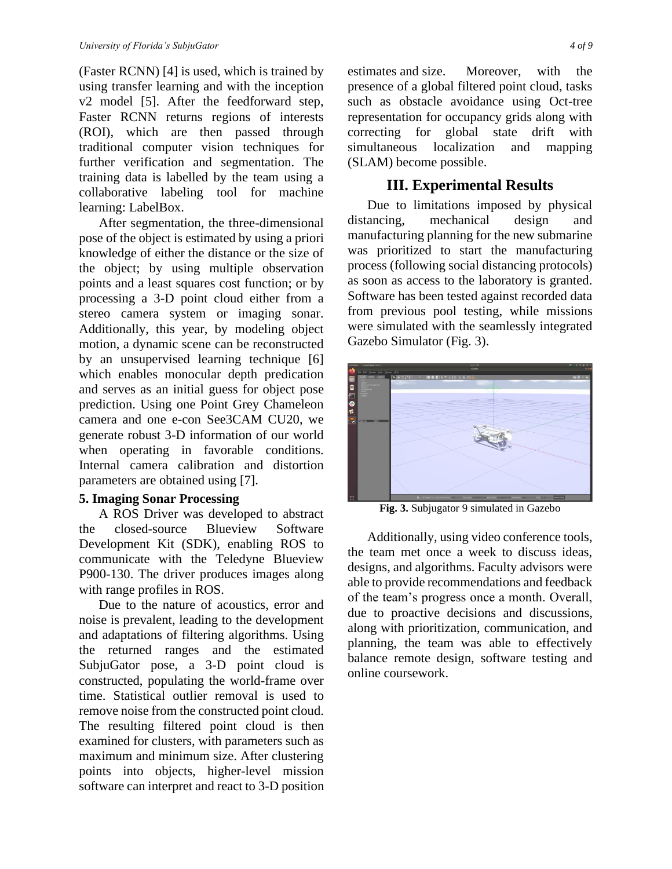(Faster RCNN) [4] is used, which is trained by using transfer learning and with the inception v2 model [5]. After the feedforward step, Faster RCNN returns regions of interests (ROI), which are then passed through traditional computer vision techniques for further verification and segmentation. The training data is labelled by the team using a collaborative labeling tool for machine learning: LabelBox.

After segmentation, the three-dimensional pose of the object is estimated by using a priori knowledge of either the distance or the size of the object; by using multiple observation points and a least squares cost function; or by processing a 3-D point cloud either from a stereo camera system or imaging sonar. Additionally, this year, by modeling object motion, a dynamic scene can be reconstructed by an unsupervised learning technique [6] which enables monocular depth predication and serves as an initial guess for object pose prediction. Using one Point Grey Chameleon camera and one e-con See3CAM CU20, we generate robust 3-D information of our world when operating in favorable conditions. Internal camera calibration and distortion parameters are obtained using [7].

#### **5. Imaging Sonar Processing**

A ROS Driver was developed to abstract the closed-source Blueview Software Development Kit (SDK), enabling ROS to communicate with the Teledyne Blueview P900-130. The driver produces images along with range profiles in ROS.

Due to the nature of acoustics, error and noise is prevalent, leading to the development and adaptations of filtering algorithms. Using the returned ranges and the estimated SubjuGator pose, a 3-D point cloud is constructed, populating the world-frame over time. Statistical outlier removal is used to remove noise from the constructed point cloud. The resulting filtered point cloud is then examined for clusters, with parameters such as maximum and minimum size. After clustering points into objects, higher-level mission software can interpret and react to 3-D position estimates and size. Moreover, with the presence of a global filtered point cloud, tasks such as obstacle avoidance using Oct-tree representation for occupancy grids along with correcting for global state drift with simultaneous localization and mapping (SLAM) become possible.

## **III. Experimental Results**

Due to limitations imposed by physical distancing, mechanical design and manufacturing planning for the new submarine was prioritized to start the manufacturing process (following social distancing protocols) as soon as access to the laboratory is granted. Software has been tested against recorded data from previous pool testing, while missions were simulated with the seamlessly integrated Gazebo Simulator (Fig. 3).



**Fig. 3.** Subjugator 9 simulated in Gazebo

Additionally, using video conference tools, the team met once a week to discuss ideas, designs, and algorithms. Faculty advisors were able to provide recommendations and feedback of the team's progress once a month. Overall, due to proactive decisions and discussions, along with prioritization, communication, and planning, the team was able to effectively balance remote design, software testing and online coursework.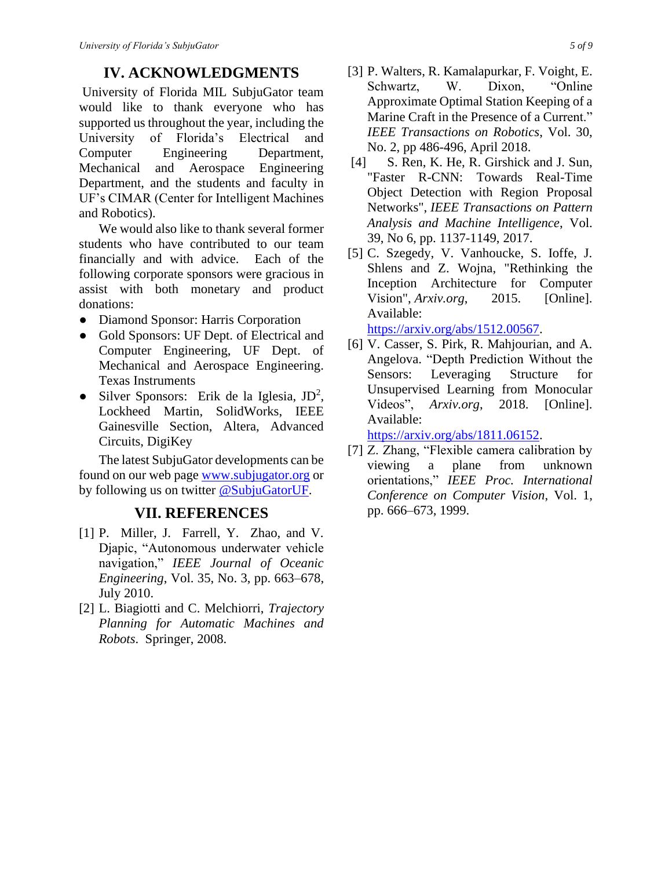# **IV. ACKNOWLEDGMENTS**

University of Florida MIL SubjuGator team would like to thank everyone who has supported us throughout the year, including the University of Florida's Electrical and Computer Engineering Department, Mechanical and Aerospace Engineering Department, and the students and faculty in UF's CIMAR (Center for Intelligent Machines and Robotics).

We would also like to thank several former students who have contributed to our team financially and with advice. Each of the following corporate sponsors were gracious in assist with both monetary and product donations:

- Diamond Sponsor: Harris Corporation
- Gold Sponsors: UF Dept. of Electrical and Computer Engineering, UF Dept. of Mechanical and Aerospace Engineering. Texas Instruments
- Silver Sponsors: Erik de la Iglesia, JD<sup>2</sup>, Lockheed Martin, SolidWorks, IEEE Gainesville Section, Altera, Advanced Circuits, DigiKey

The latest SubjuGator developments can be found on our web page [www.subjugator.org](http://www.subjugator.org/) or by following us on twitter [@SubjuGatorUF.](https://twitter.com/subjugatoruf)

# **VII. REFERENCES**

- [1] P. Miller, J. Farrell, Y. Zhao, and V. Djapic, "Autonomous underwater vehicle navigation," *IEEE Journal of Oceanic Engineering*, Vol. 35, No. 3, pp. 663–678, July 2010.
- [2] L. Biagiotti and C. Melchiorri, *Trajectory Planning for Automatic Machines and Robots*. Springer, 2008.
- [3] P. Walters, R. Kamalapurkar, F. Voight, E. Schwartz, W. Dixon, "Online Approximate Optimal Station Keeping of a Marine Craft in the Presence of a Current." *IEEE Transactions on Robotics*, Vol. 30, No. 2, pp 486-496, April 2018.
- [4] S. Ren, K. He, R. Girshick and J. Sun, "Faster R-CNN: Towards Real-Time Object Detection with Region Proposal Networks", *IEEE Transactions on Pattern Analysis and Machine Intelligence*, Vol. 39, No 6, pp. 1137-1149, 2017.
- [5] C. Szegedy, V. Vanhoucke, S. Ioffe, J. Shlens and Z. Wojna, "Rethinking the Inception Architecture for Computer Vision", *Arxiv.org*, 2015. [Online]. Available:

[https://arxiv.org/abs/1512.00567.](https://arxiv.org/abs/1512.00567)

[6] V. Casser, S. Pirk, R. Mahjourian, and A. Angelova. "Depth Prediction Without the Sensors: Leveraging Structure for Unsupervised Learning from Monocular Videos", *Arxiv.org*, 2018. [Online]. Available:

[https://arxiv.org/abs/1811.06152.](https://arxiv.org/abs/1811.06152)

[7] Z. Zhang, "Flexible camera calibration by viewing a plane from unknown orientations," *IEEE Proc. International Conference on Computer Vision*, Vol. 1, pp. 666–673, 1999.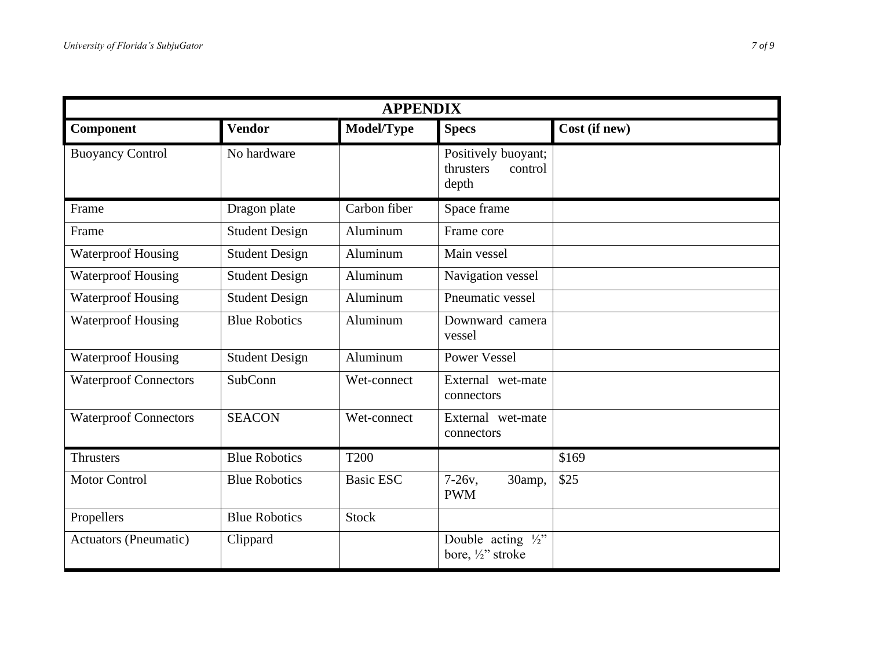| <b>APPENDIX</b>              |                       |                  |                                                      |               |
|------------------------------|-----------------------|------------------|------------------------------------------------------|---------------|
| Component                    | <b>Vendor</b>         | Model/Type       | <b>Specs</b>                                         | Cost (if new) |
| <b>Buoyancy Control</b>      | No hardware           |                  | Positively buoyant;<br>thrusters<br>control<br>depth |               |
| Frame                        | Dragon plate          | Carbon fiber     | Space frame                                          |               |
| Frame                        | <b>Student Design</b> | Aluminum         | Frame core                                           |               |
| <b>Waterproof Housing</b>    | <b>Student Design</b> | Aluminum         | Main vessel                                          |               |
| <b>Waterproof Housing</b>    | <b>Student Design</b> | Aluminum         | Navigation vessel                                    |               |
| <b>Waterproof Housing</b>    | <b>Student Design</b> | Aluminum         | Pneumatic vessel                                     |               |
| <b>Waterproof Housing</b>    | <b>Blue Robotics</b>  | Aluminum         | Downward camera<br>vessel                            |               |
| <b>Waterproof Housing</b>    | <b>Student Design</b> | Aluminum         | <b>Power Vessel</b>                                  |               |
| <b>Waterproof Connectors</b> | SubConn               | Wet-connect      | External wet-mate<br>connectors                      |               |
| <b>Waterproof Connectors</b> | <b>SEACON</b>         | Wet-connect      | External wet-mate<br>connectors                      |               |
| <b>Thrusters</b>             | <b>Blue Robotics</b>  | <b>T200</b>      |                                                      | \$169         |
| <b>Motor Control</b>         | <b>Blue Robotics</b>  | <b>Basic ESC</b> | $7-26v,$<br>30amp,<br><b>PWM</b>                     | \$25          |
| Propellers                   | <b>Blue Robotics</b>  | <b>Stock</b>     |                                                      |               |
| <b>Actuators (Pneumatic)</b> | Clippard              |                  | Double acting $\frac{1}{2}$ "<br>bore, 1/2" stroke   |               |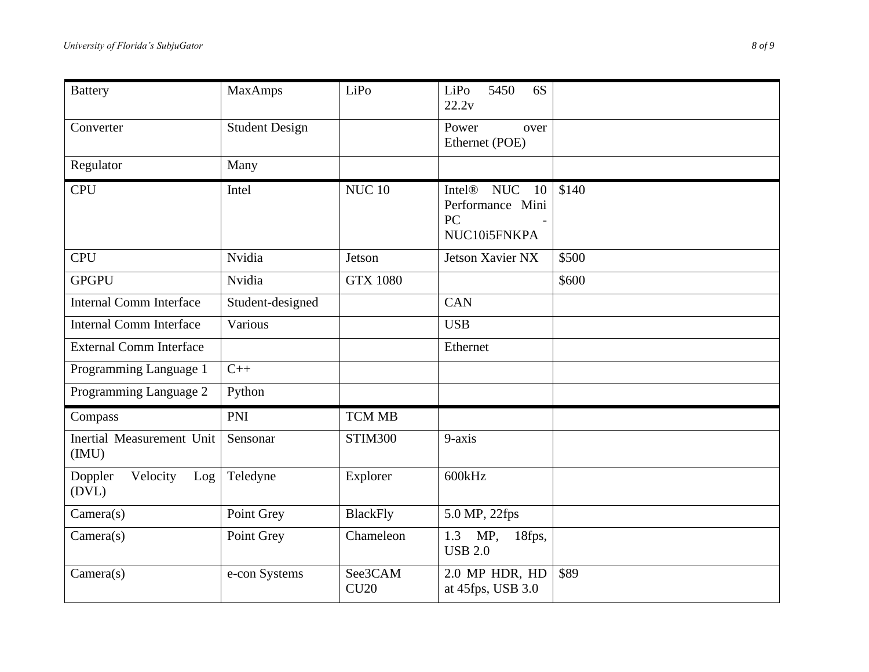| <b>Battery</b>                      | <b>MaxAmps</b>        | LiPo            | 5450<br>6S<br>LiPo<br>22.2v                                                      |       |
|-------------------------------------|-----------------------|-----------------|----------------------------------------------------------------------------------|-------|
| Converter                           | <b>Student Design</b> |                 | Power<br>over<br>Ethernet (POE)                                                  |       |
| Regulator                           | Many                  |                 |                                                                                  |       |
| <b>CPU</b>                          | Intel                 | <b>NUC 10</b>   | Intel <sup>®</sup><br><b>NUC</b><br>10<br>Performance Mini<br>PC<br>NUC10i5FNKPA | \$140 |
| <b>CPU</b>                          | Nvidia                | Jetson          | Jetson Xavier NX                                                                 | \$500 |
| <b>GPGPU</b>                        | Nvidia                | <b>GTX 1080</b> |                                                                                  | \$600 |
| <b>Internal Comm Interface</b>      | Student-designed      |                 | <b>CAN</b>                                                                       |       |
| <b>Internal Comm Interface</b>      | Various               |                 | <b>USB</b>                                                                       |       |
| <b>External Comm Interface</b>      |                       |                 | Ethernet                                                                         |       |
| Programming Language 1              | $C++$                 |                 |                                                                                  |       |
| Programming Language 2              | Python                |                 |                                                                                  |       |
| Compass                             | <b>PNI</b>            | <b>TCM MB</b>   |                                                                                  |       |
| Inertial Measurement Unit<br>(MU)   | Sensonar              | <b>STIM300</b>  | 9-axis                                                                           |       |
| Velocity<br>Doppler<br>Log<br>(DVL) | Teledyne              | Explorer        | 600kHz                                                                           |       |
| Camera(s)                           | Point Grey            | <b>BlackFly</b> | 5.0 MP, 22fps                                                                    |       |
| Camera(s)                           | Point Grey            | Chameleon       | MP,<br>1.3<br>18fps,<br><b>USB 2.0</b>                                           |       |
| Camera(s)                           | e-con Systems         | See3CAM<br>CU20 | 2.0 MP HDR, HD<br>at 45fps, USB 3.0                                              | \$89  |